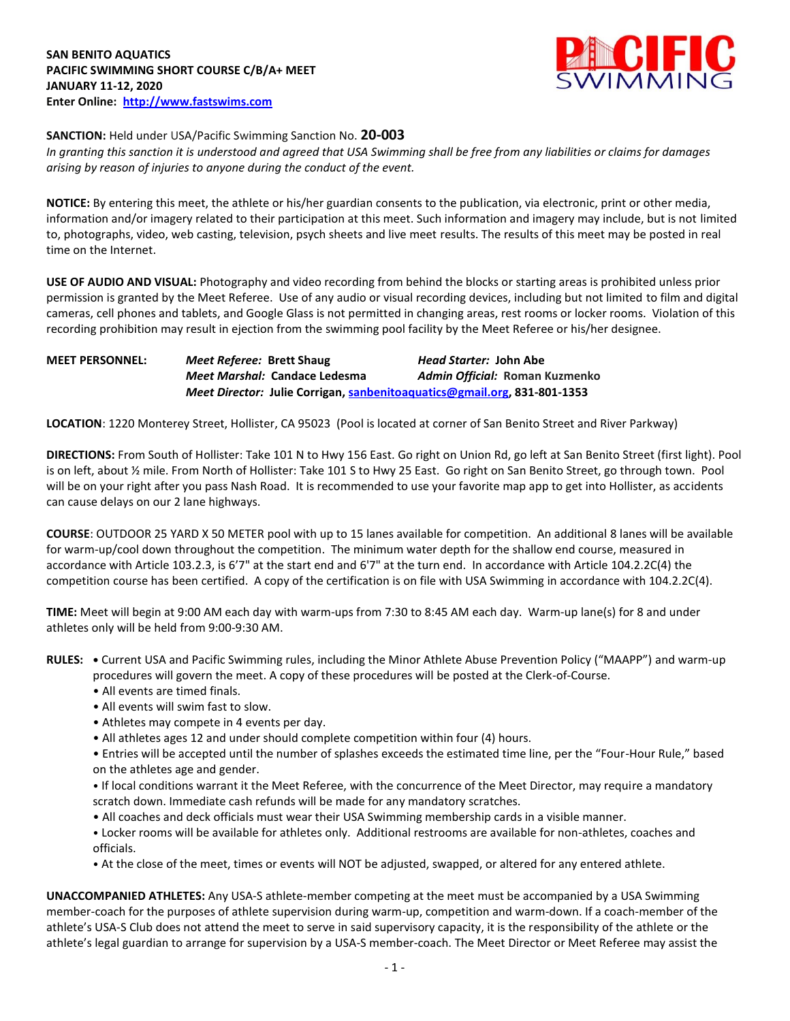

## **SANCTION:** Held under USA/Pacific Swimming Sanction No. **20-003**

*In granting this sanction it is understood and agreed that USA Swimming shall be free from any liabilities or claims for damages arising by reason of injuries to anyone during the conduct of the event.* 

**NOTICE:** By entering this meet, the athlete or his/her guardian consents to the publication, via electronic, print or other media, information and/or imagery related to their participation at this meet. Such information and imagery may include, but is not limited to, photographs, video, web casting, television, psych sheets and live meet results. The results of this meet may be posted in real time on the Internet.

**USE OF AUDIO AND VISUAL:** Photography and video recording from behind the blocks or starting areas is prohibited unless prior permission is granted by the Meet Referee. Use of any audio or visual recording devices, including but not limited to film and digital cameras, cell phones and tablets, and Google Glass is not permitted in changing areas, rest rooms or locker rooms. Violation of this recording prohibition may result in ejection from the swimming pool facility by the Meet Referee or his/her designee.

**MEET PERSONNEL:** *Meet Referee:* **Brett Shaug** *Head Starter:* **John Abe** *Meet Marshal:* **Candace Ledesma** *Admin Official:* **Roman Kuzmenko** *Meet Director:* **Julie Corrigan, [sanbenitoaquatics@gmail.org,](mailto:sanbenitoaquatics@gmail.org) 831-801-1353**

**LOCATION**: 1220 Monterey Street, Hollister, CA 95023 (Pool is located at corner of San Benito Street and River Parkway)

**DIRECTIONS:** From South of Hollister: Take 101 N to Hwy 156 East. Go right on Union Rd, go left at San Benito Street (first light). Pool is on left, about ½ mile. From North of Hollister: Take 101 S to Hwy 25 East. Go right on San Benito Street, go through town. Pool will be on your right after you pass Nash Road. It is recommended to use your favorite map app to get into Hollister, as accidents can cause delays on our 2 lane highways.

**COURSE**: OUTDOOR 25 YARD X 50 METER pool with up to 15 lanes available for competition. An additional 8 lanes will be available for warm-up/cool down throughout the competition. The minimum water depth for the shallow end course, measured in accordance with Article 103.2.3, is 6'7" at the start end and 6'7" at the turn end. In accordance with Article 104.2.2C(4) the competition course has been certified. A copy of the certification is on file with USA Swimming in accordance with 104.2.2C(4).

**TIME:** Meet will begin at 9:00 AM each day with warm-ups from 7:30 to 8:45 AM each day. Warm-up lane(s) for 8 and under athletes only will be held from 9:00-9:30 AM.

**RULES: •** Current USA and Pacific Swimming rules, including the Minor Athlete Abuse Prevention Policy ("MAAPP") and warm-up procedures will govern the meet. A copy of these procedures will be posted at the Clerk-of-Course.

- All events are timed finals.
- All events will swim fast to slow.
- Athletes may compete in 4 events per day.
- All athletes ages 12 and under should complete competition within four (4) hours.
- Entries will be accepted until the number of splashes exceeds the estimated time line, per the "Four-Hour Rule," based on the athletes age and gender.
- If local conditions warrant it the Meet Referee, with the concurrence of the Meet Director, may require a mandatory scratch down. Immediate cash refunds will be made for any mandatory scratches.
- All coaches and deck officials must wear their USA Swimming membership cards in a visible manner.
- Locker rooms will be available for athletes only. Additional restrooms are available for non-athletes, coaches and officials.
- At the close of the meet, times or events will NOT be adjusted, swapped, or altered for any entered athlete.

**UNACCOMPANIED ATHLETES:** Any USA-S athlete-member competing at the meet must be accompanied by a USA Swimming member-coach for the purposes of athlete supervision during warm-up, competition and warm-down. If a coach-member of the athlete's USA-S Club does not attend the meet to serve in said supervisory capacity, it is the responsibility of the athlete or the athlete's legal guardian to arrange for supervision by a USA-S member-coach. The Meet Director or Meet Referee may assist the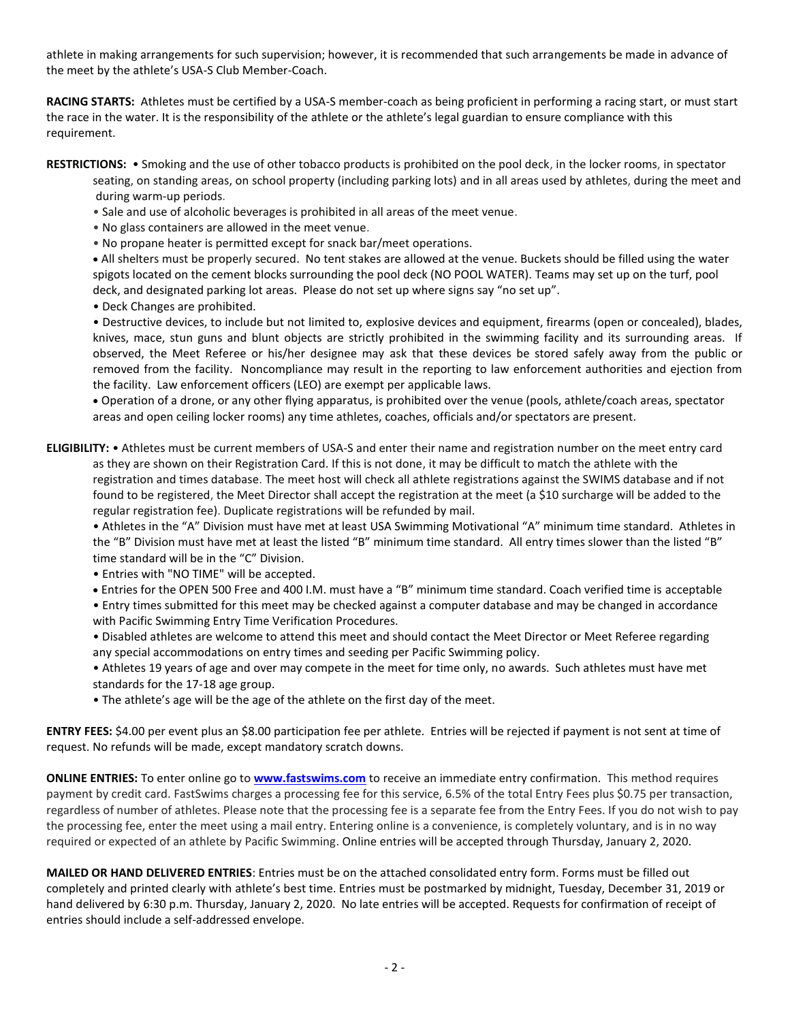athlete in making arrangements for such supervision; however, it is recommended that such arrangements be made in advance of the meet by the athlete's USA-S Club Member-Coach.

**RACING STARTS:** Athletes must be certified by a USA-S member-coach as being proficient in performing a racing start, or must start the race in the water. It is the responsibility of the athlete or the athlete's legal guardian to ensure compliance with this requirement.

- **RESTRICTIONS:** Smoking and the use of other tobacco products is prohibited on the pool deck, in the locker rooms, in spectator seating, on standing areas, on school property (including parking lots) and in all areas used by athletes, during the meet and during warm-up periods.
	- Sale and use of alcoholic beverages is prohibited in all areas of the meet venue.
	- No glass containers are allowed in the meet venue.
	- No propane heater is permitted except for snack bar/meet operations.

 All shelters must be properly secured. No tent stakes are allowed at the venue. Buckets should be filled using the water spigots located on the cement blocks surrounding the pool deck (NO POOL WATER). Teams may set up on the turf, pool deck, and designated parking lot areas. Please do not set up where signs say "no set up".

• Deck Changes are prohibited.

• Destructive devices, to include but not limited to, explosive devices and equipment, firearms (open or concealed), blades, knives, mace, stun guns and blunt objects are strictly prohibited in the swimming facility and its surrounding areas. If observed, the Meet Referee or his/her designee may ask that these devices be stored safely away from the public or removed from the facility. Noncompliance may result in the reporting to law enforcement authorities and ejection from the facility. Law enforcement officers (LEO) are exempt per applicable laws.

 Operation of a drone, or any other flying apparatus, is prohibited over the venue (pools, athlete/coach areas, spectator areas and open ceiling locker rooms) any time athletes, coaches, officials and/or spectators are present.

**ELIGIBILITY:** • Athletes must be current members of USA-S and enter their name and registration number on the meet entry card as they are shown on their Registration Card. If this is not done, it may be difficult to match the athlete with the registration and times database. The meet host will check all athlete registrations against the SWIMS database and if not found to be registered, the Meet Director shall accept the registration at the meet (a \$10 surcharge will be added to the regular registration fee). Duplicate registrations will be refunded by mail.

• Athletes in the "A" Division must have met at least USA Swimming Motivational "A" minimum time standard. Athletes in the "B" Division must have met at least the listed "B" minimum time standard. All entry times slower than the listed "B" time standard will be in the "C" Division.

- Entries with "NO TIME" will be accepted.
- Entries for the OPEN 500 Free and 400 I.M. must have a "B" minimum time standard. Coach verified time is acceptable

• Entry times submitted for this meet may be checked against a computer database and may be changed in accordance with Pacific Swimming Entry Time Verification Procedures.

• Disabled athletes are welcome to attend this meet and should contact the Meet Director or Meet Referee regarding any special accommodations on entry times and seeding per Pacific Swimming policy.

• Athletes 19 years of age and over may compete in the meet for time only, no awards. Such athletes must have met standards for the 17-18 age group.

• The athlete's age will be the age of the athlete on the first day of the meet.

**ENTRY FEES:** \$4.00 per event plus an \$8.00 participation fee per athlete. Entries will be rejected if payment is not sent at time of request. No refunds will be made, except mandatory scratch downs.

**ONLINE ENTRIES:** To enter online go to **[www.fastswims.com](http://www.fastswims.com/)** to receive an immediate entry confirmation. This method requires payment by credit card. FastSwims charges a processing fee for this service, 6.5% of the total Entry Fees plus \$0.75 per transaction, regardless of number of athletes. Please note that the processing fee is a separate fee from the Entry Fees. If you do not wish to pay the processing fee, enter the meet using a mail entry. Entering online is a convenience, is completely voluntary, and is in no way required or expected of an athlete by Pacific Swimming. Online entries will be accepted through Thursday, January 2, 2020.

**MAILED OR HAND DELIVERED ENTRIES**: Entries must be on the attached consolidated entry form. Forms must be filled out completely and printed clearly with athlete's best time. Entries must be postmarked by midnight, Tuesday, December 31, 2019 or hand delivered by 6:30 p.m. Thursday, January 2, 2020. No late entries will be accepted. Requests for confirmation of receipt of entries should include a self-addressed envelope.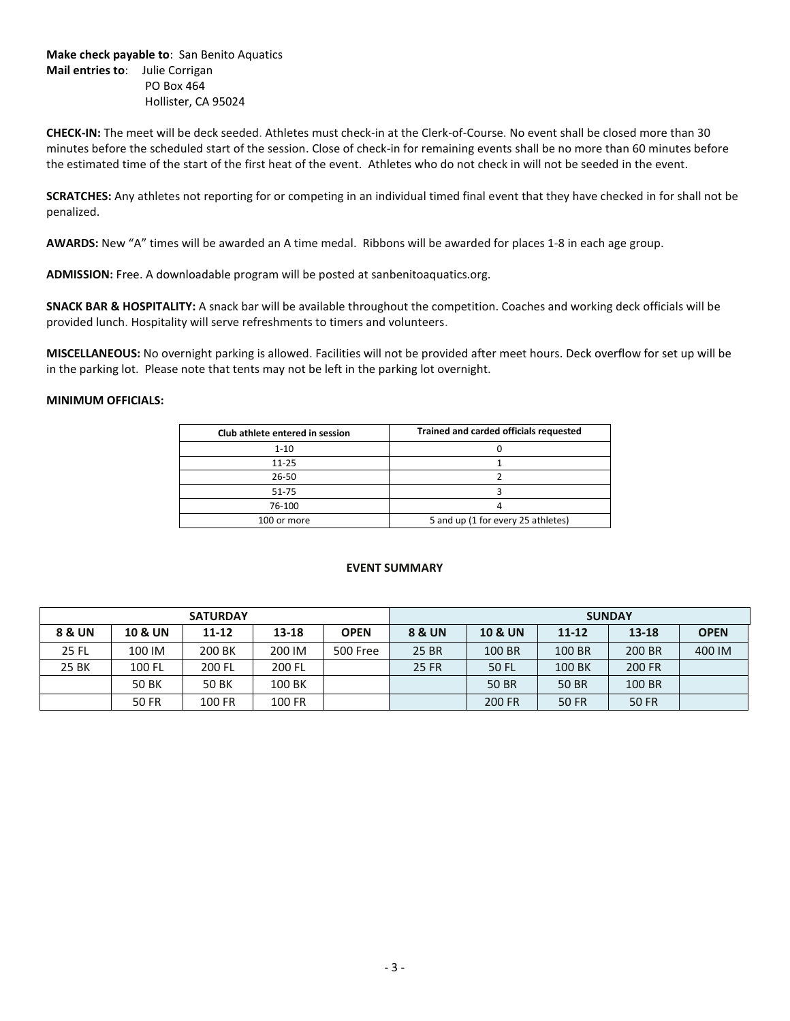**Make check payable to**: San Benito Aquatics **Mail entries to**: Julie Corrigan PO Box 464 Hollister, CA 95024

**CHECK-IN:** The meet will be deck seeded. Athletes must check-in at the Clerk-of-Course. No event shall be closed more than 30 minutes before the scheduled start of the session. Close of check-in for remaining events shall be no more than 60 minutes before the estimated time of the start of the first heat of the event. Athletes who do not check in will not be seeded in the event.

**SCRATCHES:** Any athletes not reporting for or competing in an individual timed final event that they have checked in for shall not be penalized.

**AWARDS:** New "A" times will be awarded an A time medal. Ribbons will be awarded for places 1-8 in each age group.

**ADMISSION:** Free. A downloadable program will be posted at sanbenitoaquatics.org.

**SNACK BAR & HOSPITALITY:** A snack bar will be available throughout the competition. Coaches and working deck officials will be provided lunch. Hospitality will serve refreshments to timers and volunteers.

**MISCELLANEOUS:** No overnight parking is allowed. Facilities will not be provided after meet hours. Deck overflow for set up will be in the parking lot. Please note that tents may not be left in the parking lot overnight.

## **MINIMUM OFFICIALS:**

| Club athlete entered in session | Trained and carded officials requested |
|---------------------------------|----------------------------------------|
| $1 - 10$                        |                                        |
| $11 - 25$                       |                                        |
| 26-50                           |                                        |
| 51-75                           |                                        |
| 76-100                          |                                        |
| 100 or more                     | 5 and up (1 for every 25 athletes)     |

## **EVENT SUMMARY**

|                   |                    | <b>SATURDAY</b> |        |             | <b>SUNDAY</b>     |                    |              |               |             |  |  |
|-------------------|--------------------|-----------------|--------|-------------|-------------------|--------------------|--------------|---------------|-------------|--|--|
| <b>8 &amp; UN</b> | <b>10 &amp; UN</b> | 11-12           | 13-18  | <b>OPEN</b> | <b>8 &amp; UN</b> | <b>10 &amp; UN</b> | $11 - 12$    | 13-18         | <b>OPEN</b> |  |  |
| 25 FL             | 100 IM             | 200 BK          | 200 IM | 500 Free    | 25 BR             | 100 BR             | 100 BR       | 200 BR        | 400 IM      |  |  |
| 25 BK             | 100 FL             | 200 FL          | 200 FL |             | 25 FR             | 50 FL              | 100 BK       | <b>200 FR</b> |             |  |  |
|                   | 50 BK              | <b>50 BK</b>    | 100 BK |             |                   | <b>50 BR</b>       | <b>50 BR</b> | 100 BR        |             |  |  |
|                   | 50 FR              | 100 FR          | 100 FR |             |                   | 200 FR             | <b>50 FR</b> | <b>50 FR</b>  |             |  |  |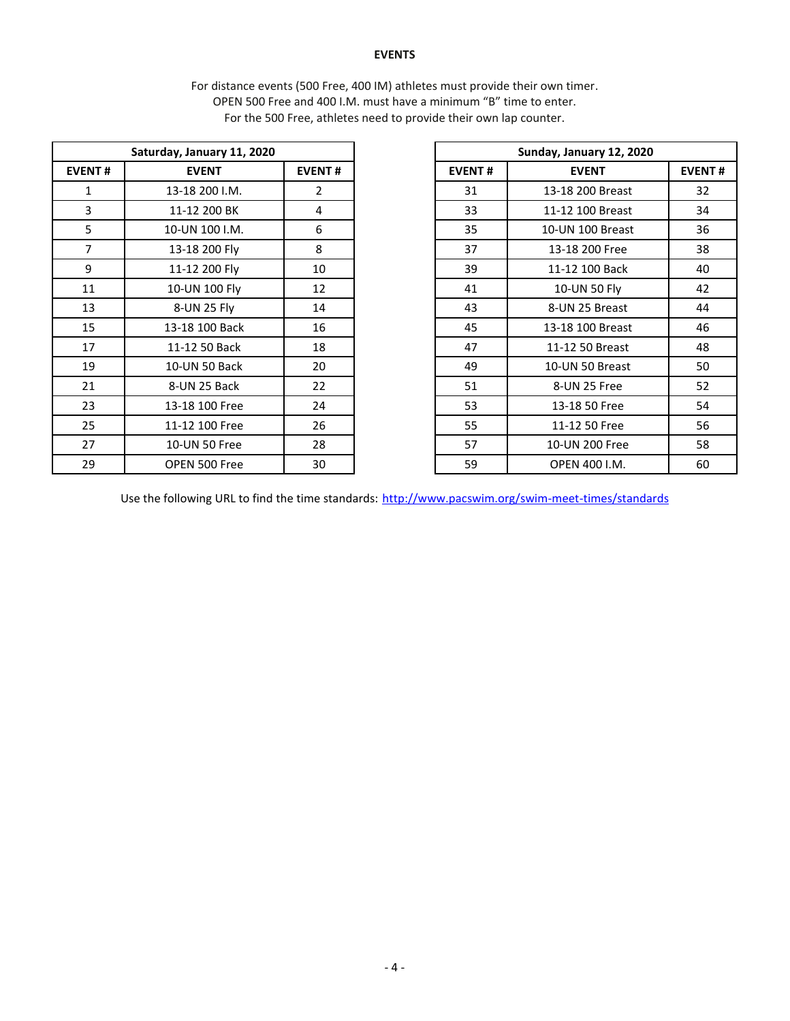## **EVENTS**

For distance events (500 Free, 400 IM) athletes must provide their own timer. OPEN 500 Free and 400 I.M. must have a minimum "B" time to enter. For the 500 Free, athletes need to provide their own lap counter.

|                               | Saturday, January 11, 2020 |               |               | Sunday, January 12, 2020 |
|-------------------------------|----------------------------|---------------|---------------|--------------------------|
| <b>EVENT#</b><br><b>EVENT</b> |                            | <b>EVENT#</b> | <b>EVENT#</b> | <b>EVENT</b>             |
| $\mathbf{1}$                  | 13-18 200 I.M.             | 2             | 31            | 13-18 200 Breast         |
| 3                             | 11-12 200 BK               | 4             | 33            | 11-12 100 Breast         |
| 5                             | 10-UN 100 I.M.             | 6             | 35            | 10-UN 100 Breast         |
| $\overline{7}$                | 13-18 200 Fly              | 8             | 37            | 13-18 200 Free           |
| 9                             | 11-12 200 Fly              | 10            | 39            | 11-12 100 Back           |
| 11                            | 10-UN 100 Fly              | 12            | 41            | 10-UN 50 Fly             |
| 13                            | 8-UN 25 Fly                | 14            | 43            | 8-UN 25 Breast           |
| 15                            | 13-18 100 Back             | 16            | 45            | 13-18 100 Breast         |
| 17                            | 11-12 50 Back              | 18            | 47            | 11-12 50 Breast          |
| 19                            | 10-UN 50 Back              | 20            | 49            | 10-UN 50 Breast          |
| 21                            | 8-UN 25 Back               | 22            | 51            | 8-UN 25 Free             |
| 23                            | 13-18 100 Free             | 24            | 53            | 13-18 50 Free            |
| 25                            | 11-12 100 Free             | 26            | 55            | 11-12 50 Free            |
| 27                            | 10-UN 50 Free              | 28            | 57            | 10-UN 200 Free           |
| 29                            | OPEN 500 Free              | 30            | 59            | OPEN 400 I.M.            |
|                               |                            |               |               |                          |

|               | Saturday, January 11, 2020 |                | Sunday, January 12, 2020 |                  |    |  |  |
|---------------|----------------------------|----------------|--------------------------|------------------|----|--|--|
| <b>EVENT#</b> | <b>EVENT</b>               | <b>EVENT#</b>  | <b>EVENT#</b>            | <b>EVENT#</b>    |    |  |  |
| 1             | 13-18 200 I.M.             | $\overline{2}$ | 31                       | 13-18 200 Breast | 32 |  |  |
| 3             | 11-12 200 BK               | 4              | 33                       | 11-12 100 Breast | 34 |  |  |
| 5             | 10-UN 100 I.M.             | 6              | 35                       | 10-UN 100 Breast | 36 |  |  |
| 7             | 13-18 200 Fly              | 8              | 37                       | 13-18 200 Free   | 38 |  |  |
| 9             | 11-12 200 Fly              | 10             | 39                       | 11-12 100 Back   | 40 |  |  |
| 11            | 10-UN 100 Fly              | 12             | 41                       | 10-UN 50 Fly     | 42 |  |  |
| 13            | 8-UN 25 Fly                | 14             | 43                       | 8-UN 25 Breast   | 44 |  |  |
| 15            | 13-18 100 Back             | 16             | 45                       | 13-18 100 Breast | 46 |  |  |
| 17            | 11-12 50 Back              | 18             | 47                       | 11-12 50 Breast  | 48 |  |  |
| 19            | 10-UN 50 Back              | 20             | 49                       | 10-UN 50 Breast  | 50 |  |  |
| 21            | 8-UN 25 Back               | 22             | 51                       | 8-UN 25 Free     | 52 |  |  |
| 23            | 13-18 100 Free             | 24             | 53                       | 13-18 50 Free    | 54 |  |  |
| 25            | 11-12 100 Free             | 26             | 55                       | 11-12 50 Free    | 56 |  |  |
| 27            | 10-UN 50 Free              | 28             | 57                       | 10-UN 200 Free   | 58 |  |  |
| 29            | OPEN 500 Free              | 30             | 59                       | OPEN 400 I.M.    | 60 |  |  |

Use the following URL to find the time standards: <http://www.pacswim.org/swim-meet-times/standards>